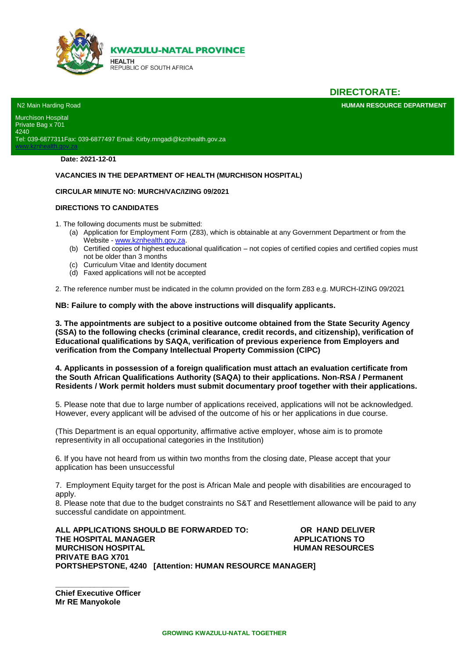

## **DIRECTORATE:**

**HUMAN RESOURCE DEPARTMENT** 

N2 Main Harding Road Murchison Hospital Private Bag x 701 4240 Tel: 039-6877311Fax: 039-6877497 Email: Kirby.mngadi@kznhealth.gov.za

**Date: 2021-12-01**

lth.gov.za

#### **VACANCIES IN THE DEPARTMENT OF HEALTH (MURCHISON HOSPITAL)**

#### **CIRCULAR MINUTE NO: MURCH/VAC/IZING 09/2021**

#### **DIRECTIONS TO CANDIDATES**

1. The following documents must be submitted:

- (a) Application for Employment Form (Z83), which is obtainable at any Government Department or from the Website - [www.kznhealth.gov.za.](http://www.kznhealth.gov.za/)
- (b) Certified copies of highest educational qualification not copies of certified copies and certified copies must not be older than 3 months
- (c) Curriculum Vitae and Identity document
- (d) Faxed applications will not be accepted

2. The reference number must be indicated in the column provided on the form Z83 e.g. MURCH-IZING 09/2021

**NB: Failure to comply with the above instructions will disqualify applicants.**

**3. The appointments are subject to a positive outcome obtained from the State Security Agency (SSA) to the following checks (criminal clearance, credit records, and citizenship), verification of Educational qualifications by SAQA, verification of previous experience from Employers and verification from the Company Intellectual Property Commission (CIPC)** 

**4. Applicants in possession of a foreign qualification must attach an evaluation certificate from the South African Qualifications Authority (SAQA) to their applications. Non-RSA / Permanent Residents / Work permit holders must submit documentary proof together with their applications.** 

5. Please note that due to large number of applications received, applications will not be acknowledged. However, every applicant will be advised of the outcome of his or her applications in due course.

(This Department is an equal opportunity, affirmative active employer, whose aim is to promote representivity in all occupational categories in the Institution)

6. If you have not heard from us within two months from the closing date, Please accept that your application has been unsuccessful

7. Employment Equity target for the post is African Male and people with disabilities are encouraged to apply.

8. Please note that due to the budget constraints no S&T and Resettlement allowance will be paid to any successful candidate on appointment.

**ALL APPLICATIONS SHOULD BE FORWARDED TO: OR HAND DELIVER THE HOSPITAL MANAGER APPLICATIONS TO MURCHISON HOSPITAL MURCHISON HOSPITAL PRIVATE BAG X701 PORTSHEPSTONE, 4240 [Attention: HUMAN RESOURCE MANAGER]** 

**\_\_\_\_\_\_\_\_\_\_\_\_\_\_\_\_\_ Chief Executive Officer Mr RE Manyokole**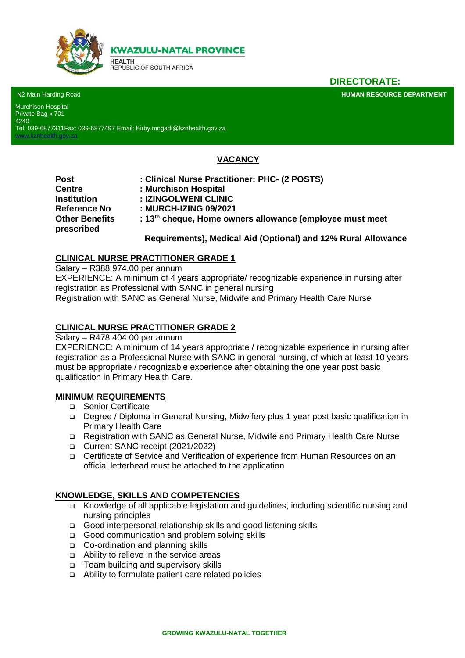

**DIRECTORATE:**

**HUMAN RESOURCE DEPARTMENT** 

N2 Main Harding Road Murchison Hospital Private Bag x 701 4240

[www.kznhealth.gov.za](http://www.kznhealth.gov.za/)

Tel: 039-6877311Fax: 039-6877497 Email: Kirby.mngadi@kznhealth.gov.za

# **VACANCY**

**Reference No : MURCH-IZING 09/2021 prescribed**

**Post : Clinical Nurse Practitioner: PHC- (2 POSTS)** 

- **Centre : Murchison Hospital**
- **Institution : IZINGOLWENI CLINIC**
	-

**Other Benefits : 13th cheque, Home owners allowance (employee must meet** 

# **Requirements), Medical Aid (Optional) and 12% Rural Allowance**

### **CLINICAL NURSE PRACTITIONER GRADE 1**

Salary – R388 974.00 per annum

EXPERIENCE: A minimum of 4 years appropriate/ recognizable experience in nursing after registration as Professional with SANC in general nursing

Registration with SANC as General Nurse, Midwife and Primary Health Care Nurse

# **CLINICAL NURSE PRACTITIONER GRADE 2**

Salary – R478 404.00 per annum

EXPERIENCE: A minimum of 14 years appropriate / recognizable experience in nursing after registration as a Professional Nurse with SANC in general nursing, of which at least 10 years must be appropriate / recognizable experience after obtaining the one year post basic qualification in Primary Health Care.

### **MINIMUM REQUIREMENTS**

- □ Senior Certificate
- Degree / Diploma in General Nursing, Midwifery plus 1 year post basic qualification in Primary Health Care
- Registration with SANC as General Nurse, Midwife and Primary Health Care Nurse
- Current SANC receipt (2021/2022)
- Certificate of Service and Verification of experience from Human Resources on an official letterhead must be attached to the application

### **KNOWLEDGE, SKILLS AND COMPETENCIES**

- Knowledge of all applicable legislation and guidelines, including scientific nursing and nursing principles
- □ Good interpersonal relationship skills and good listening skills
- Good communication and problem solving skills
- □ Co-ordination and planning skills
- Ability to relieve in the service areas
- □ Team building and supervisory skills
- Ability to formulate patient care related policies